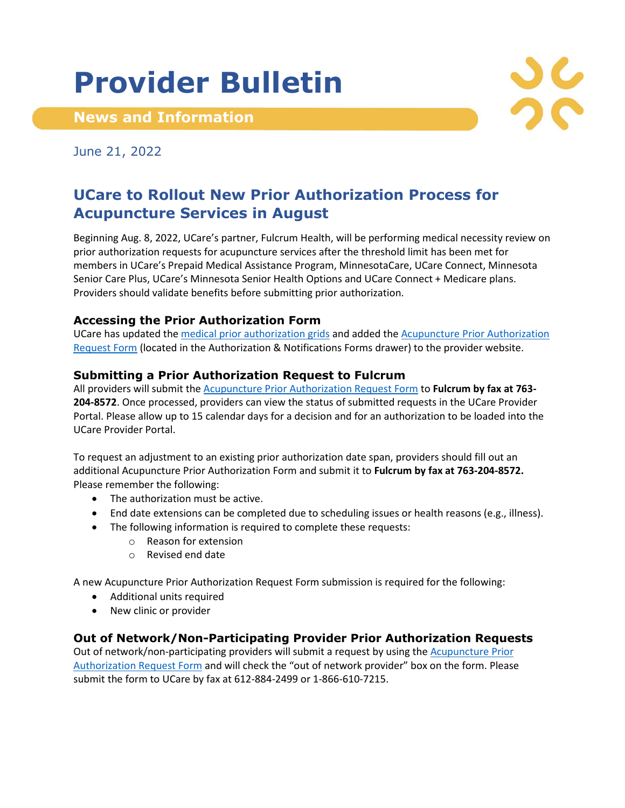# **Provider Bulletin**

**News and Information**

June 21, 2022

# **UCare to Rollout New Prior Authorization Process for Acupuncture Services in August**

Beginning Aug. 8, 2022, UCare's partner, Fulcrum Health, will be performing medical necessity review on prior authorization requests for acupuncture services after the threshold limit has been met for members in UCare's Prepaid Medical Assistance Program, MinnesotaCare, UCare Connect, Minnesota Senior Care Plus, UCare's Minnesota Senior Health Options and UCare Connect + Medicare plans. Providers should validate benefits before submitting prior authorization.

#### **Accessing the Prior Authorization Form**

UCare has updated the [medical prior authorization grids](http://www.ucare.org/providers/authorization) and added the Acupuncture Prior Authorization [Request Form](https://www.ucare.org/providers/authorization/med-svcs-spp-snp-auths) (located in the Authorization & Notifications Forms drawer) to the provider website.

### **Submitting a Prior Authorization Request to Fulcrum**

All providers will submit the [Acupuncture Prior Authorization Request Form](https://www.ucare.org/providers/authorization/med-svcs-spp-snp-auths) to **Fulcrum by fax at 763- 204-8572**. Once processed, providers can view the status of submitted requests in the UCare Provider Portal. Please allow up to 15 calendar days for a decision and for an authorization to be loaded into the UCare Provider Portal.

To request an adjustment to an existing prior authorization date span, providers should fill out an additional Acupuncture Prior Authorization Form and submit it to **Fulcrum by fax at 763-204-8572.** Please remember the following:

- The authorization must be active.
- End date extensions can be completed due to scheduling issues or health reasons (e.g., illness).
- The following information is required to complete these requests:
	- o Reason for extension
	- o Revised end date

A new Acupuncture Prior Authorization Request Form submission is required for the following:

- Additional units required
- New clinic or provider

## **Out of Network/Non-Participating Provider Prior Authorization Requests**

Out of network/non-participating providers will submit a request by using the **Acupuncture Prior** [Authorization Request Form](https://www.ucare.org/providers/authorization/med-svcs-spp-snp-auths) and will check the "out of network provider" box on the form. Please submit the form to UCare by fax at 612-884-2499 or 1-866-610-7215.